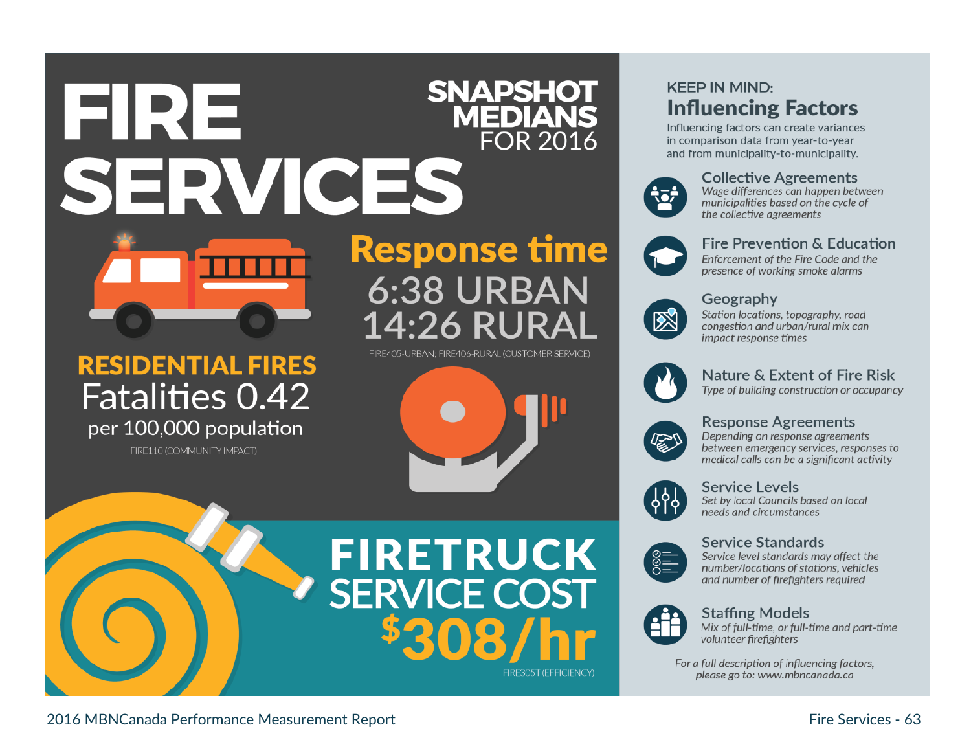## **SNAPSHOT MEDIANS FOR 2016** SERVICES



# **RESIDENTIAL FIRES Fatalities 0.42**

per 100,000 population

FIRE110 (COMMUNITY IMPACT)

# **Response time 6:38 URBAN** 14:26 RUR

FIRE405-URBAN: FIRE406-RURAL (CUSTOMER SERVICE)



# **FIRETRUCK SERVICE COST**

## **KEEP IN MIND: Influencing Factors**

Influencing factors can create variances in comparison data from year-to-year and from municipality-to-municipality.



#### **Collective Agreements**

Wage differences can happen between municipalities based on the cycle of the collective agreements



## Fire Prevention & Education

Enforcement of the Fire Code and the presence of working smoke alarms

#### Geography



Station locations, topography, road congestion and urban/rural mix can impact response times



### **Nature & Extent of Fire Risk**

Type of building construction or occupancy



#### **Response Agreements**

Depending on response agreements between emergency services, responses to medical calls can be a significant activity



#### **Service Levels**

Set by local Councils based on local needs and circumstances

#### **Service Standards**



Service level standards may affect the number/locations of stations, vehicles and number of firefighters required



#### **Staffing Models**

Mix of full-time, or full-time and part-time volunteer firefighters

For a full description of influencing factors, please go to: www.mbncanada.ca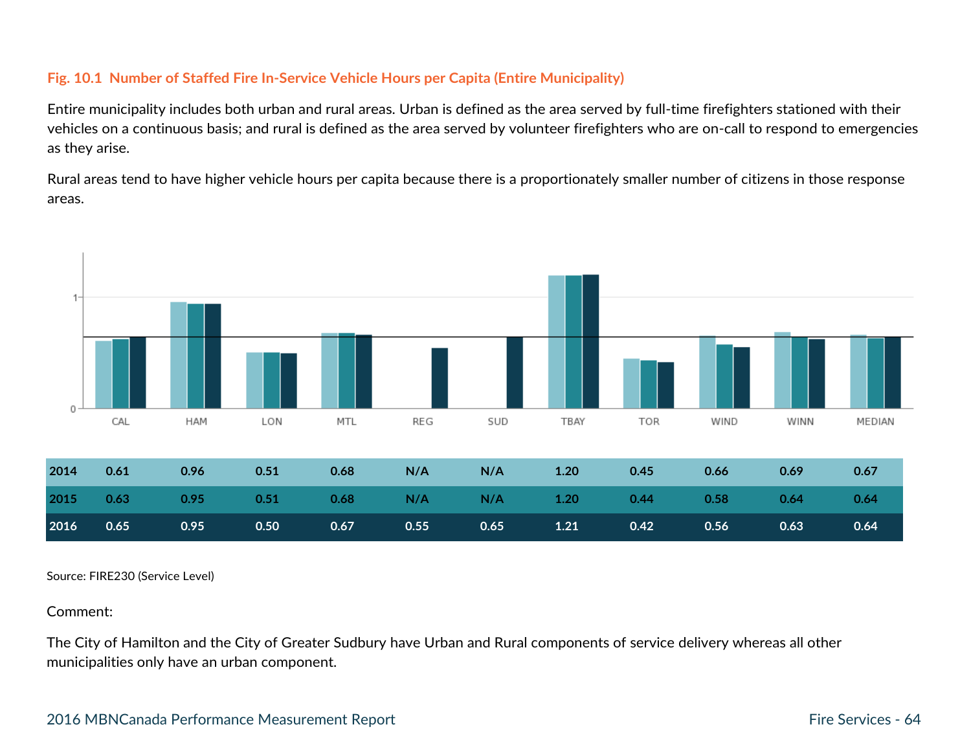#### **Fig. 10.1 Number of Staffed Fire In-Service Vehicle Hours per Capita (Entire Municipality)**

Entire municipality includes both urban and rural areas. Urban is defined as the area served by full-time firefighters stationed with their vehicles on a continuous basis; and rural is defined as the area served by volunteer firefighters who are on-call to respond to emergencies as they arise.

Rural areas tend to have higher vehicle hours per capita because there is a proportionately smaller number of citizens in those response areas.



Source: FIRE230 (Service Level)

Comment:

The City of Hamilton and the City of Greater Sudbury have Urban and Rural components of service delivery whereas all other municipalities only have an urban component.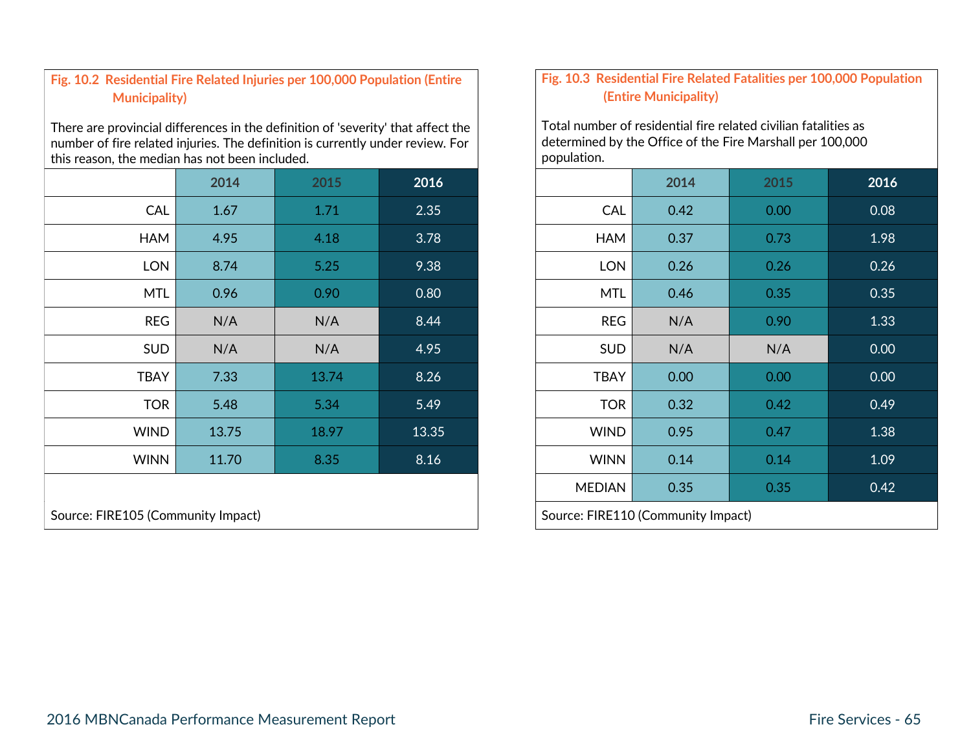#### **Fig. 10.2 Residential Fire Related Injuries per 100,000 Population (Entire Municipality)**

There are provincial differences in the definition of 'severity' that affect the number of fire related injuries. The definition is currently under review. For this reason, the median has not been included.

|                                    | 2014  | 2015  | 2016  |  |                                    | 2014 |  |
|------------------------------------|-------|-------|-------|--|------------------------------------|------|--|
| CAL                                | 1.67  | 1.71  | 2.35  |  | CAL                                | 0.42 |  |
| <b>HAM</b>                         | 4.95  | 4.18  | 3.78  |  | <b>HAM</b>                         | 0.37 |  |
| <b>LON</b>                         | 8.74  | 5.25  | 9.38  |  | <b>LON</b>                         | 0.26 |  |
| <b>MTL</b>                         | 0.96  | 0.90  | 0.80  |  | <b>MTL</b>                         | 0.46 |  |
| <b>REG</b>                         | N/A   | N/A   | 8.44  |  | <b>REG</b>                         | N/A  |  |
| <b>SUD</b>                         | N/A   | N/A   | 4.95  |  | <b>SUD</b>                         | N/A  |  |
| <b>TBAY</b>                        | 7.33  | 13.74 | 8.26  |  | <b>TBAY</b>                        | 0.00 |  |
| <b>TOR</b>                         | 5.48  | 5.34  | 5.49  |  | <b>TOR</b>                         | 0.32 |  |
| <b>WIND</b>                        | 13.75 | 18.97 | 13.35 |  | <b>WIND</b>                        | 0.95 |  |
| <b>WINN</b>                        | 11.70 | 8.35  | 8.16  |  | <b>WINN</b>                        | 0.14 |  |
|                                    |       |       |       |  | <b>MEDIAN</b>                      | 0.35 |  |
| Source: FIRE105 (Community Impact) |       |       |       |  | Source: FIRE110 (Community Impact) |      |  |

#### **Fig. 10.3 Residential Fire Related Fatalities per 100,000 Population (Entire Municipality)**

Total number of residential fire related civilian fatalities as determined by the Office of the Fire Marshall per 100,000 population.

|                       | 2014  | 2015  | 2016                               |               | 2014 | 2015 | 2016              |
|-----------------------|-------|-------|------------------------------------|---------------|------|------|-------------------|
| <b>CAL</b>            | 1.67  | 1.71  | 2.35                               | <b>CAL</b>    | 0.42 | 0.00 | 0.08              |
| <b>HAM</b>            | 4.95  | 4.18  | 3.78                               | <b>HAM</b>    | 0.37 | 0.73 | 1.98              |
| <b>LON</b>            | 8.74  | 5.25  | 9.38                               | <b>LON</b>    | 0.26 | 0.26 | 0.26              |
| <b>MTL</b>            | 0.96  | 0.90  | 0.80                               | <b>MTL</b>    | 0.46 | 0.35 | 0.35              |
| <b>REG</b>            | N/A   | N/A   | 8.44                               | <b>REG</b>    | N/A  | 0.90 | 1.33              |
| <b>SUD</b>            | N/A   | N/A   | 4.95                               | <b>SUD</b>    | N/A  | N/A  | 0.00 <sub>1</sub> |
| <b>TBAY</b>           | 7.33  | 13.74 | 8.26                               | <b>TBAY</b>   | 0.00 | 0.00 | 0.00              |
| <b>TOR</b>            | 5.48  | 5.34  | 5.49                               | <b>TOR</b>    | 0.32 | 0.42 | 0.49              |
| <b>WIND</b>           | 13.75 | 18.97 | 13.35                              | <b>WIND</b>   | 0.95 | 0.47 | 1.38              |
| <b>WINN</b>           | 11.70 | 8.35  | 8.16                               | <b>WINN</b>   | 0.14 | 0.14 | 1.09              |
|                       |       |       |                                    | <b>MEDIAN</b> | 0.35 | 0.35 | 0.42              |
| 05 (Community Impact) |       |       | Source: FIRE110 (Community Impact) |               |      |      |                   |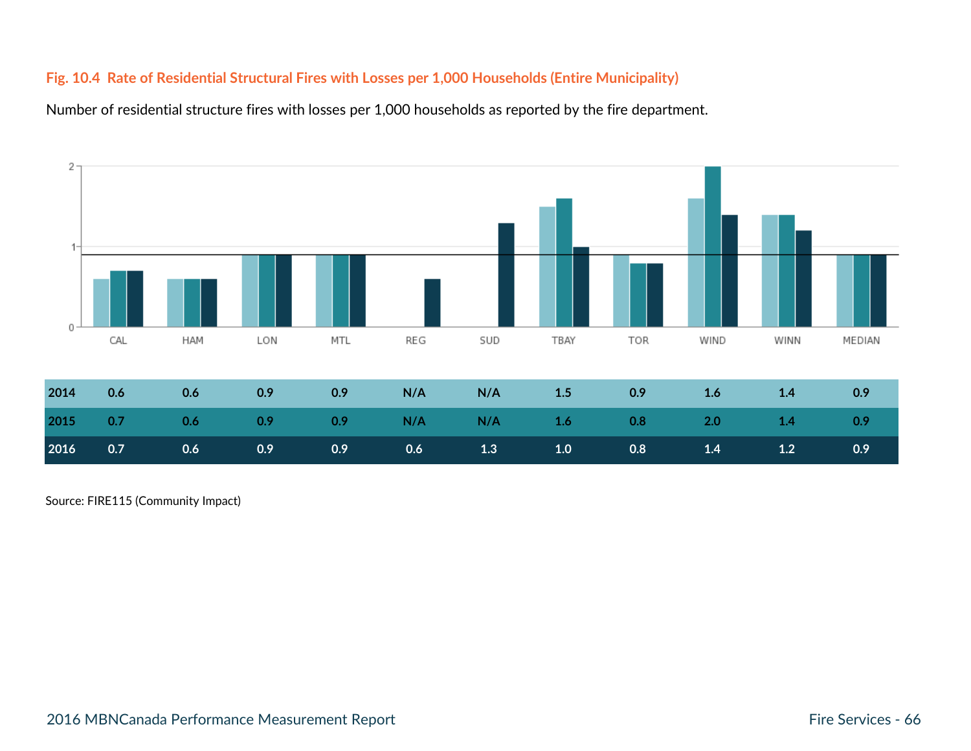#### **Fig. 10.4 Rate of Residential Structural Fires with Losses per 1,000 Households (Entire Municipality)**

Number of residential structure fires with losses per 1,000 households as reported by the fire department.



Source: FIRE115 (Community Impact)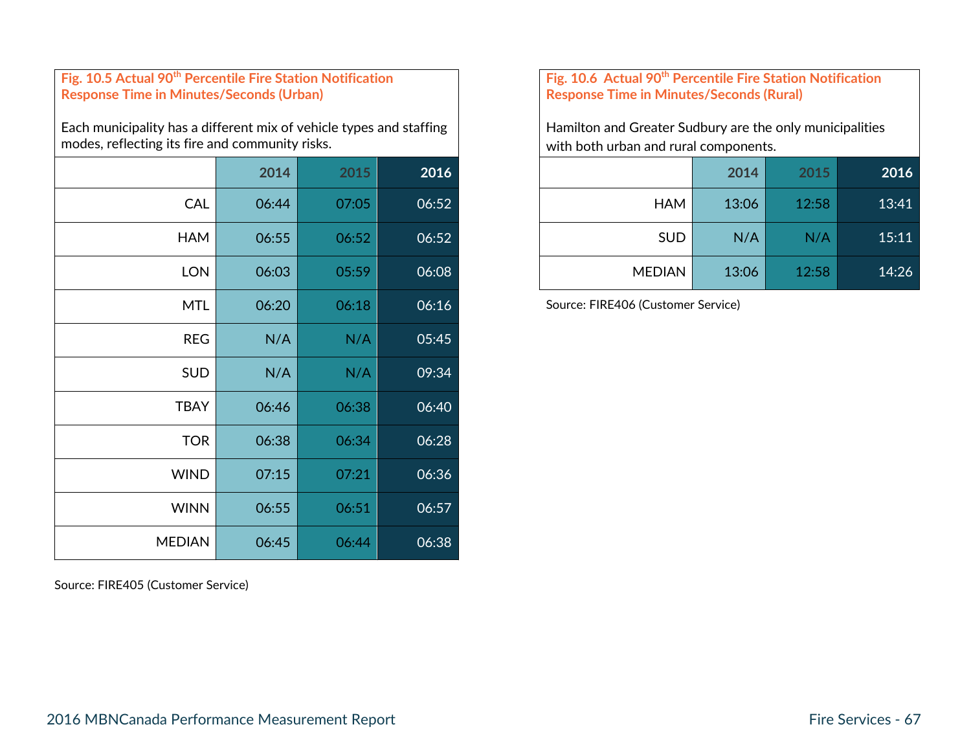#### **Fig. 10.5 Actual 90th Percentile Fire Station Notification Response Time in Minutes/Seconds (Urban)**

Each municipality has a different mix of vehicle types and staffing modes, reflecting its fire and community risks.

|               | 2014  | 2015  | 2016  |
|---------------|-------|-------|-------|
| <b>CAL</b>    | 06:44 | 07:05 | 06:52 |
| <b>HAM</b>    | 06:55 | 06:52 | 06:52 |
| <b>LON</b>    | 06:03 | 05:59 | 06:08 |
| <b>MTL</b>    | 06:20 | 06:18 | 06:16 |
| <b>REG</b>    | N/A   | N/A   | 05:45 |
| <b>SUD</b>    | N/A   | N/A   | 09:34 |
| <b>TBAY</b>   | 06:46 | 06:38 | 06:40 |
| <b>TOR</b>    | 06:38 | 06:34 | 06:28 |
| <b>WIND</b>   | 07:15 | 07:21 | 06:36 |
| <b>WINN</b>   | 06:55 | 06:51 | 06:57 |
| <b>MEDIAN</b> | 06:45 | 06:44 | 06:38 |

Source: FIRE405 (Customer Service)

#### **Fig. 10.6 Actual 90th Percentile Fire Station Notification Response Time in Minutes/Seconds (Rural)**

Hamilton and Greater Sudbury are the only municipalities with both urban and rural components.

|            | 2014  | 2015  | 2016  |               | 2014  | 2015  | 2016  |
|------------|-------|-------|-------|---------------|-------|-------|-------|
| <b>CAL</b> | 06:44 | 07:05 | 06:52 | HAM           | 13:06 | 12:58 | 13:41 |
| <b>HAM</b> | 06:55 | 06:52 | 06:52 | <b>SUD</b>    | N/A   | N/A   | 15:11 |
| <b>LON</b> | 06:03 | 05:59 | 06:08 | <b>MEDIAN</b> | 13:06 | 12:58 | 14:26 |

Source: FIRE406 (Customer Service)